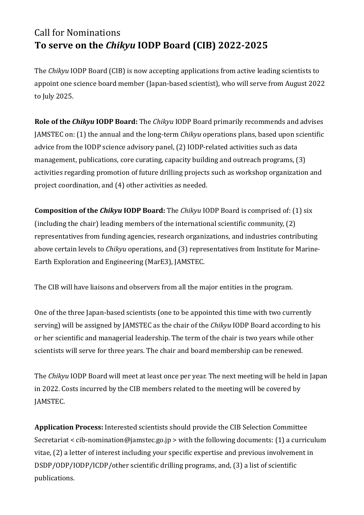## Call for Nominations **To serve on the** *Chikyu* **IODP Board (CIB) 2022-2025**

The *Chikyu* IODP Board (CIB) is now accepting applications from active leading scientists to appoint one science board member (Japan-based scientist), who will serve from August 2022 to July 2025.

**Role of the** *Chikyu* **IODP Board:** The *Chikyu* IODP Board primarily recommends and advises JAMSTEC on: (1) the annual and the long-term *Chikyu* operations plans, based upon scientific advice from the IODP science advisory panel, (2) IODP-related activities such as data management, publications, core curating, capacity building and outreach programs, (3) activities regarding promotion of future drilling projects such as workshop organization and project coordination, and (4) other activities as needed.

**Composition of the** *Chikyu* **IODP Board:** The *Chikyu* IODP Board is comprised of: (1) six (including the chair) leading members of the international scientific community, (2) representatives from funding agencies, research organizations, and industries contributing above certain levels to *Chikyu* operations, and (3) representatives from Institute for Marine-Earth Exploration and Engineering (MarE3), JAMSTEC.

The CIB will have liaisons and observers from all the major entities in the program.

One of the three Japan-based scientists (one to be appointed this time with two currently serving) will be assigned by JAMSTEC as the chair of the *Chikyu* IODP Board according to his or her scientific and managerial leadership. The term of the chair is two years while other scientists will serve for three years. The chair and board membership can be renewed.

The *Chikyu* IODP Board will meet at least once per year. The next meeting will be held in Japan in 2022. Costs incurred by the CIB members related to the meeting will be covered by JAMSTEC.

**Application Process:** Interested scientists should provide the CIB Selection Committee Secretariat < cib-nomination@jamstec.go.jp > with the following documents: (1) a curriculum vitae, (2) a letter of interest including your specific expertise and previous involvement in DSDP/ODP/IODP/ICDP/other scientific drilling programs, and, (3) a list of scientific publications.